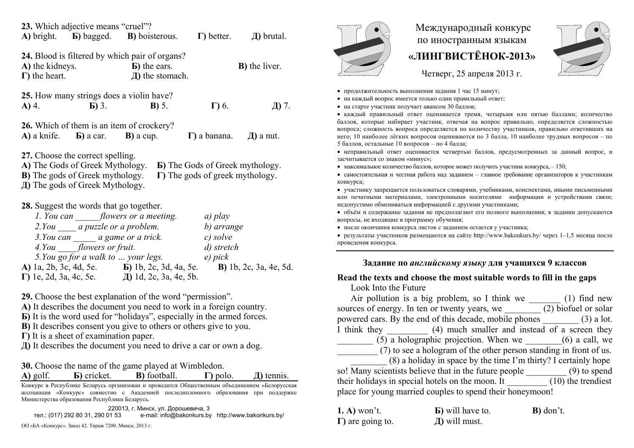|                                                                                                                                                                                                                                                                                                                                                                                                                                                    | 23. Which adjective means "cruel"?     | A) bright. <b>b</b> ) bagged. <b>B</b> ) boisterous. <b>F</b> ) better. <b>J</b> ) brutal.           |                                    |                       |  |
|----------------------------------------------------------------------------------------------------------------------------------------------------------------------------------------------------------------------------------------------------------------------------------------------------------------------------------------------------------------------------------------------------------------------------------------------------|----------------------------------------|------------------------------------------------------------------------------------------------------|------------------------------------|-----------------------|--|
| 24. Blood is filtered by which pair of organs?<br><b>A)</b> the kidneys. $\bf{B}$ ) the ears.<br>$\Gamma$ ) the heart.                                                                                                                                                                                                                                                                                                                             |                                        | Д) the stomach.                                                                                      |                                    | <b>B</b> ) the liver. |  |
|                                                                                                                                                                                                                                                                                                                                                                                                                                                    | <b>A)</b> 4. <b>b)</b> 3. <b>b)</b> 5. | <b>25.</b> How many strings does a violin have?                                                      | $\Gamma$ ) 6.                      | Д) 7.                 |  |
|                                                                                                                                                                                                                                                                                                                                                                                                                                                    |                                        | 26. Which of them is an item of crockery?<br>$\bf{A}$ ) a knife. $\bf{B}$ ) a car. $\bf{B}$ ) a cup. | $\Gamma$ ) a banana. $\Box$ a nut. |                       |  |
| 27. Choose the correct spelling.<br>A) The Gods of Greek Mythology. <b>b</b> ) The Gods of Greek mythology.<br><b>B</b> ) The gods of Greek mythology. $\Gamma$ The gods of greek mythology.<br>Д) The gods of Greek Mythology.                                                                                                                                                                                                                    |                                        |                                                                                                      |                                    |                       |  |
| 28. Suggest the words that go together.<br>1. You can flowers or a meeting.<br>a) play<br>2. You a puzzle or a problem.<br>b) arrange<br>3. You can $\_\_\_\_\$ a game or a trick. $\_\_\_\_c$ solve<br>4. You flowers or fruit.<br>d) stretch<br>5. You go for a walk to  your legs. e) pick<br>A) 1a, 2b, 3c, 4d, 5e. <b>b</b> ) 1b, 2c, 3d, 4a, 5e. <b>b</b> ) 1b, 2c, 3a, 4e, 5d.<br>$\Gamma$ ) 1e, 2d, 3a, 4c, 5e. $\Box$ 1d, 2c, 3a, 4e, 5b. |                                        |                                                                                                      |                                    |                       |  |

**29.** Choose the best explanation of the word "permission".

**А)** It describes the document you need to work in a foreign country.

**Б)** It is the word used for "holidays", especially in the armed forces.

**B**) It describes consent you give to others or others give to you.

**Г)** It is a sheet of examination paper.

**Д)** It describes the document you need to drive a car or own a dog.

**30.** Choose the name of the game played at Wimbledon. **A)** golf. **G**) cricket. **B**) football.

**Г)** polo. **Д)** tennis.

Конкурс <sup>в</sup> Республике Беларусь организован <sup>и</sup> проводится Общественным объединением «Белорусская ассоциация «Конкурс» совместно <sup>с</sup> Академией последипломного образования при поддержке Министерства образования Республики Беларусь.

220013, <sup>г</sup>. Минск, ул. Дорошевича, 3

тел.: (017) 292 80 31, 290 01 53 e-mail: info@bakonkurs.by http://www.bakonkurs.by/ **Д)** will must. ОО «БА «Конкурс». Заказ 42. Тираж 7200. Минск. 2013 <sup>г</sup>.



## Международный конкурс по иностранным языкам **«ЛИНГВИСТЁНОК-2013»**



Четверг, 25 апреля 2013 г.

- продолжительность выполнения задания 1 час 15 минут;
- на каждый вопрос имеется только один правильный ответ;
- на старте участник получает авансом 30 баллов;

 каждый правильный ответ оценивается тремя, четырьмя или пятью баллами; количество баллов, которые набирает участник, отвечая на вопрос правильно, определяется сложностью вопроса; сложность вопроса определяется по количеству участников, правильно ответивших на него; 10 наиболее лёгких вопросов оцениваются по 3 балла, 10 наиболее трудных вопросов – по 5 баллов, остальные 10 вопросов – по 4 балла;

 неправильный ответ оценивается четвертью баллов, предусмотренных за данный вопрос, <sup>и</sup> засчитывается со знаком «минус»;

• максимальное количество баллов, которое может получить участник конкурса,  $-150$ ;

 самостоятельная и честная работа над заданием – главное требование организаторов <sup>к</sup> участникам конкурса;

 участнику запрещается пользоваться словарями, учебниками, конспектами, иными письменными или печатными материалами, электронными носителями информации <sup>и</sup> устройствами связи; недопустимо обмениваться информацией <sup>с</sup> другими участниками;

 объём <sup>и</sup> содержание задания не предполагают его полного выполнения; <sup>в</sup> задании допускаются вопросы, не входящие <sup>в</sup> программу обучения;

после окончания конкурса листок с заданием остается у участника;

 результаты участников размещаются на сайте http://www.bakonkurs.by/ через 1–1,5 месяца после проведения конкурса.

## **Задание по** *английскому языку* **для учащихся 9 классов**

## **Read the texts and choose the most suitable words to fill in the gaps**

Look Into the Future

|                                                                 | Air pollution is a big problem, so I think we (1) find new          |  |  |  |
|-----------------------------------------------------------------|---------------------------------------------------------------------|--|--|--|
|                                                                 | sources of energy. In ten or twenty years, we (2) biofuel or solar  |  |  |  |
|                                                                 | powered cars. By the end of this decade, mobile phones (3) a lot.   |  |  |  |
|                                                                 | I think they (4) much smaller and instead of a screen they          |  |  |  |
|                                                                 | $(5)$ a holographic projection. When we $(6)$ a call, we            |  |  |  |
|                                                                 | (7) to see a hologram of the other person standing in front of us.  |  |  |  |
| (8) a holiday in space by the time I'm thirty? I certainly hope |                                                                     |  |  |  |
|                                                                 | so! Many scientists believe that in the future people (9) to spend  |  |  |  |
|                                                                 | their holidays in special hotels on the moon. It (10) the trendiest |  |  |  |
| place for young married couples to spend their honeymoon!       |                                                                     |  |  |  |
|                                                                 |                                                                     |  |  |  |

| $(1, A)$ won't.          | <b>b</b> ) will have to. | <b>B</b> ) don't. |  |
|--------------------------|--------------------------|-------------------|--|
| $\Gamma$ ) are going to. | $\pi$ ) will must.       |                   |  |